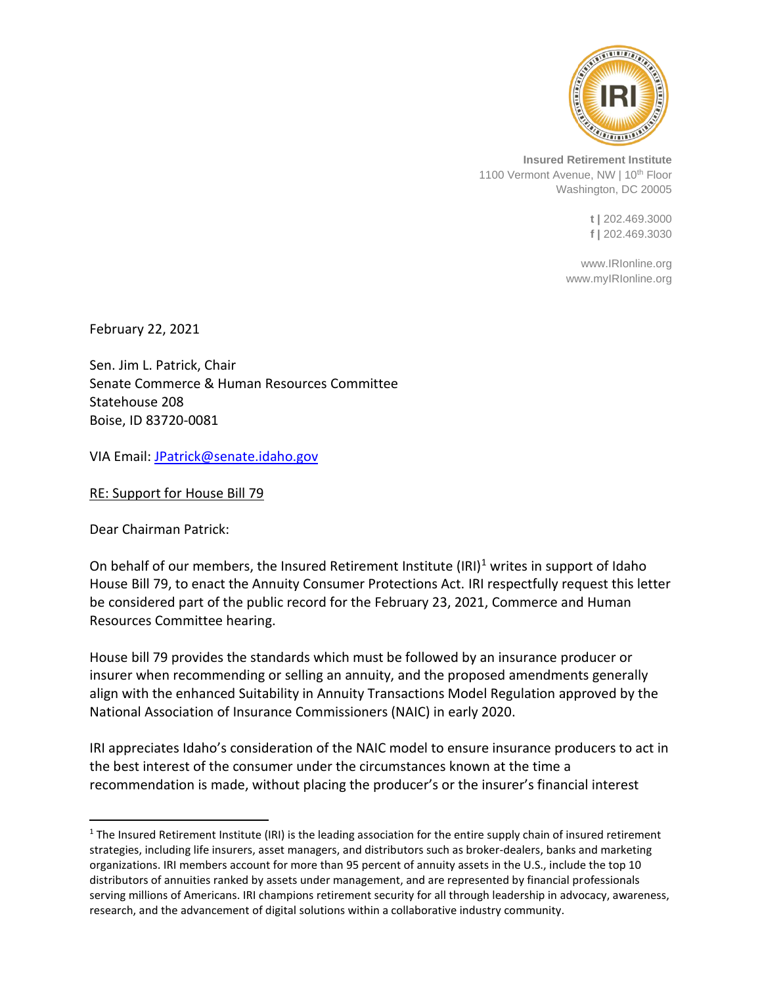

**Insured Retirement Institute** 1100 Vermont Avenue, NW | 10<sup>th</sup> Floor Washington, DC 20005

> **t |** 202.469.3000 **f |** 202.469.3030

www.IRIonline.org www.myIRIonline.org

February 22, 2021

Sen. Jim L. Patrick, Chair Senate Commerce & Human Resources Committee Statehouse 208 Boise, ID 83720-0081

VIA Email: [JPatrick@senate.idaho.gov](mailto:JPatrick@senate.idaho.gov)

RE: Support for House Bill 79

Dear Chairman Patrick:

On behalf of our members, the Insured Retirement Institute (IRI)<sup>1</sup> writes in support of Idaho House Bill 79, to enact the Annuity Consumer Protections Act. IRI respectfully request this letter be considered part of the public record for the February 23, 2021, Commerce and Human Resources Committee hearing.

House bill 79 provides the standards which must be followed by an insurance producer or insurer when recommending or selling an annuity, and the proposed amendments generally align with the enhanced Suitability in Annuity Transactions Model Regulation approved by the National Association of Insurance Commissioners (NAIC) in early 2020.

IRI appreciates Idaho's consideration of the NAIC model to ensure insurance producers to act in the best interest of the consumer under the circumstances known at the time a recommendation is made, without placing the producer's or the insurer's financial interest

 $1$  The Insured Retirement Institute (IRI) is the leading association for the entire supply chain of insured retirement strategies, including life insurers, asset managers, and distributors such as broker-dealers, banks and marketing organizations. IRI members account for more than 95 percent of annuity assets in the U.S., include the top 10 distributors of annuities ranked by assets under management, and are represented by financial professionals serving millions of Americans. IRI champions retirement security for all through leadership in advocacy, awareness, research, and the advancement of digital solutions within a collaborative industry community.